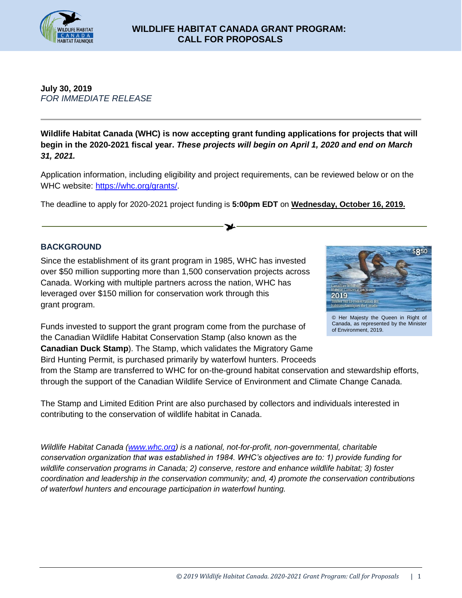

# **July 30, 2019** *FOR IMMEDIATE RELEASE*

**Wildlife Habitat Canada (WHC) is now accepting grant funding applications for projects that will begin in the 2020-2021 fiscal year.** *These projects will begin on April 1, 2020 and end on March 31, 2021.* 

Application information, including eligibility and project requirements, can be reviewed below or on the WHC website: [https://whc.org/grants/.](https://whc.org/grants/)

The deadline to apply for 2020-2021 project funding is **5:00pm EDT** on **Wednesday, October 16, 2019.**

# **BACKGROUND**

Since the establishment of its grant program in 1985, WHC has invested over \$50 million supporting more than 1,500 conservation projects across Canada. Working with multiple partners across the nation, WHC has leveraged over \$150 million for conservation work through this grant program.

Funds invested to support the grant program come from the purchase of the Canadian Wildlife Habitat Conservation Stamp (also known as the **Canadian Duck Stamp**). The Stamp, which validates the Migratory Game Bird Hunting Permit, is purchased primarily by waterfowl hunters. Proceeds



© Her Majesty the Queen in Right of Canada, as represented by the Minister of Environment, 2019.

from the Stamp are transferred to WHC for on-the-ground habitat conservation and stewardship efforts, through the support of the Canadian Wildlife Service of Environment and Climate Change Canada.

The Stamp and Limited Edition Print are also purchased by collectors and individuals interested in contributing to the conservation of wildlife habitat in Canada.

*Wildlife Habitat Canada [\(www.whc.org\)](http://www.whc.org/) is a national, not-for-profit, non-governmental, charitable conservation organization that was established in 1984. WHC's objectives are to: 1) provide funding for wildlife conservation programs in Canada; 2) conserve, restore and enhance wildlife habitat; 3) foster coordination and leadership in the conservation community; and, 4) promote the conservation contributions of waterfowl hunters and encourage participation in waterfowl hunting.*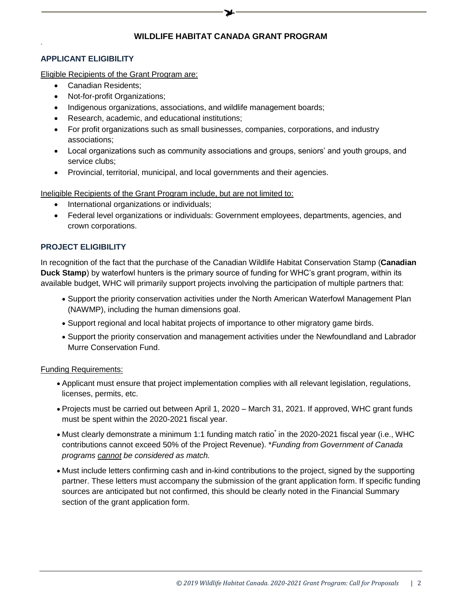# **APPLICANT ELIGIBILITY**

`

Eligible Recipients of the Grant Program are:

- Canadian Residents;
- Not-for-profit Organizations;
- Indigenous organizations, associations, and wildlife management boards;
- Research, academic, and educational institutions;
- For profit organizations such as small businesses, companies, corporations, and industry associations;
- Local organizations such as community associations and groups, seniors' and youth groups, and service clubs;
- Provincial, territorial, municipal, and local governments and their agencies.

Ineligible Recipients of the Grant Program include, but are not limited to:

- International organizations or individuals;
- Federal level organizations or individuals: Government employees, departments, agencies, and crown corporations.

## **PROJECT ELIGIBILITY**

In recognition of the fact that the purchase of the Canadian Wildlife Habitat Conservation Stamp (**Canadian Duck Stamp**) by waterfowl hunters is the primary source of funding for WHC's grant program, within its available budget, WHC will primarily support projects involving the participation of multiple partners that:

- Support the priority conservation activities under the North American Waterfowl Management Plan (NAWMP), including the human dimensions goal.
- Support regional and local habitat projects of importance to other migratory game birds.
- Support the priority conservation and management activities under the Newfoundland and Labrador Murre Conservation Fund.

Funding Requirements:

- Applicant must ensure that project implementation complies with all relevant legislation, regulations, licenses, permits, etc.
- Projects must be carried out between April 1, 2020 March 31, 2021. If approved, WHC grant funds must be spent within the 2020-2021 fiscal year.
- Must clearly demonstrate a minimum 1:1 funding match ratio in the 2020-2021 fiscal year (i.e., WHC contributions cannot exceed 50% of the Project Revenue). \**Funding from Government of Canada programs cannot be considered as match.*
- Must include letters confirming cash and in-kind contributions to the project, signed by the supporting partner. These letters must accompany the submission of the grant application form. If specific funding sources are anticipated but not confirmed, this should be clearly noted in the Financial Summary section of the grant application form.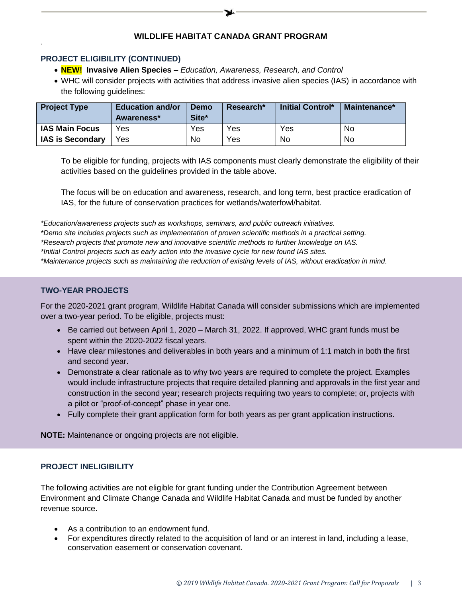### **PROJECT ELIGIBILITY (CONTINUED)**

`

- **NEW! Invasive Alien Species –** *Education, Awareness, Research, and Control*
- WHC will consider projects with activities that address invasive alien species (IAS) in accordance with the following guidelines:

| <b>Project Type</b>     | <b>Education and/or</b><br>Awareness* | Demo<br>Site* | Research* | <b>Initial Control*</b> | Maintenance* |
|-------------------------|---------------------------------------|---------------|-----------|-------------------------|--------------|
| <b>IAS Main Focus</b>   | Yes                                   | Yes           | Yes       | Yes                     | No           |
| <b>IAS is Secondary</b> | Yes                                   | No            | Yes       | No                      | No           |

To be eligible for funding, projects with IAS components must clearly demonstrate the eligibility of their activities based on the guidelines provided in the table above.

The focus will be on education and awareness, research, and long term, best practice eradication of IAS, for the future of conservation practices for wetlands/waterfowl/habitat.

*\*Education/awareness projects such as workshops, seminars, and public outreach initiatives.*

*\*Demo site includes projects such as implementation of proven scientific methods in a practical setting.*

*\*Research projects that promote new and innovative scientific methods to further knowledge on IAS.*

*\*Initial Control projects such as early action into the invasive cycle for new found IAS sites.*

*\*Maintenance projects such as maintaining the reduction of existing levels of IAS, without eradication in mind.*

### **TWO-YEAR PROJECTS**

For the 2020-2021 grant program, Wildlife Habitat Canada will consider submissions which are implemented over a two-year period. To be eligible, projects must:

- $\bullet$  Be carried out between April 1, 2020 March 31, 2022. If approved, WHC grant funds must be spent within the 2020-2022 fiscal years.
- Have clear milestones and deliverables in both years and a minimum of 1:1 match in both the first and second year.
- Demonstrate a clear rationale as to why two years are required to complete the project. Examples would include infrastructure projects that require detailed planning and approvals in the first year and construction in the second year; research projects requiring two years to complete; or, projects with a pilot or "proof-of-concept" phase in year one.
- Fully complete their grant application form for both years as per grant application instructions.

**NOTE:** Maintenance or ongoing projects are not eligible.

### **PROJECT INELIGIBILITY**

The following activities are not eligible for grant funding under the Contribution Agreement between Environment and Climate Change Canada and Wildlife Habitat Canada and must be funded by another revenue source.

- As a contribution to an endowment fund.
- For expenditures directly related to the acquisition of land or an interest in land, including a lease, conservation easement or conservation covenant.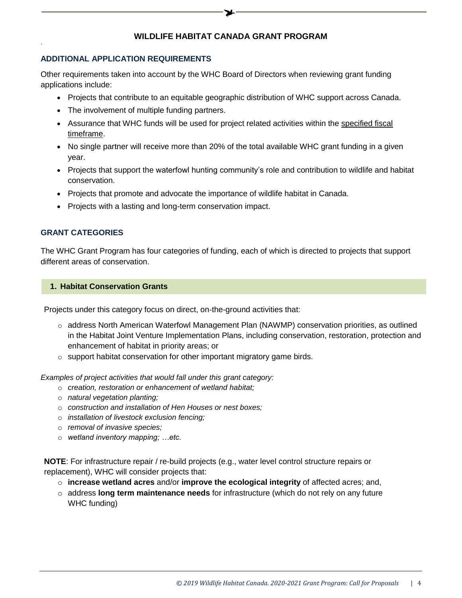#### **ADDITIONAL APPLICATION REQUIREMENTS**

Other requirements taken into account by the WHC Board of Directors when reviewing grant funding applications include:

- Projects that contribute to an equitable geographic distribution of WHC support across Canada.
- The involvement of multiple funding partners.
- Assurance that WHC funds will be used for project related activities within the specified fiscal timeframe.
- No single partner will receive more than 20% of the total available WHC grant funding in a given year.
- Projects that support the waterfowl hunting community's role and contribution to wildlife and habitat conservation.
- Projects that promote and advocate the importance of wildlife habitat in Canada.
- Projects with a lasting and long-term conservation impact.

## **GRANT CATEGORIES**

`

The WHC Grant Program has four categories of funding, each of which is directed to projects that support different areas of conservation.

#### **1. Habitat Conservation Grants**

Projects under this category focus on direct, on-the-ground activities that:

- $\circ$  address North American Waterfowl Management Plan (NAWMP) conservation priorities, as outlined in the Habitat Joint Venture Implementation Plans, including conservation, restoration, protection and enhancement of habitat in priority areas; or
- o support habitat conservation for other important migratory game birds.

*Examples of project activities that would fall under this grant category:*

- o *creation, restoration or enhancement of wetland habitat;*
- o *natural vegetation planting;*
- o *construction and installation of Hen Houses or nest boxes;*
- o *installation of livestock exclusion fencing;*
- o *removal of invasive species;*
- o *wetland inventory mapping; …etc.*

**NOTE**: For infrastructure repair / re-build projects (e.g., water level control structure repairs or replacement), WHC will consider projects that:

- o **increase wetland acres** and/or **improve the ecological integrity** of affected acres; and,
- o address **long term maintenance needs** for infrastructure (which do not rely on any future WHC funding)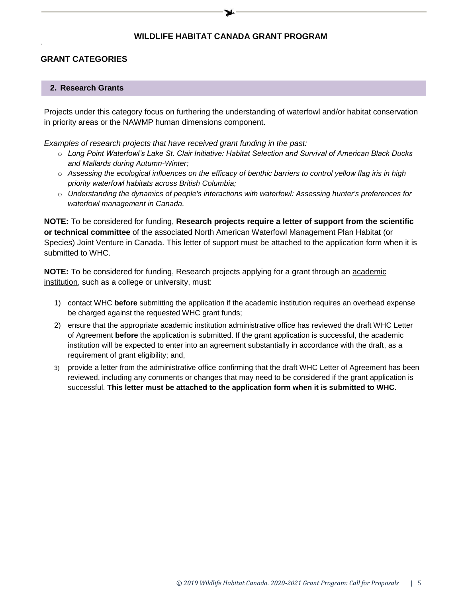# **GRANT CATEGORIES**

`

### **2. Research Grants**

Projects under this category focus on furthering the understanding of waterfowl and/or habitat conservation in priority areas or the NAWMP human dimensions component.

*Examples of research projects that have received grant funding in the past:*

- o *[Long Point Waterfowl's Lake St. Clair Initiative: Habitat Selection and Survival of American Black Ducks](http://whc.org/project/long-point-waterfowls-lake-st-clair-initiative-habitat-selection-and-survival-of-american-black-ducks-and-mallards-during-autumn-winter-2014-15/)  [and Mallards during Autumn-Winter;](http://whc.org/project/long-point-waterfowls-lake-st-clair-initiative-habitat-selection-and-survival-of-american-black-ducks-and-mallards-during-autumn-winter-2014-15/)*
- o *[Assessing the ecological influences on the efficacy of benthic barriers to control yellow flag iris in high](http://whc.org/project/assessing-the-ecological-influences-on-the-efficacy-of-benthic-barriers-to-control-yellow-flag-iris-in-high-priority-waterfowl-habitats-across-british-columbia-2015-16/)  [priority waterfowl habitats across British Columbia;](http://whc.org/project/assessing-the-ecological-influences-on-the-efficacy-of-benthic-barriers-to-control-yellow-flag-iris-in-high-priority-waterfowl-habitats-across-british-columbia-2015-16/)*
- o *Understanding the dynamics of people's interactions with waterfowl: Assessing hunter's preferences for waterfowl management in Canada.*

**NOTE:** To be considered for funding, **Research projects require a letter of support from the scientific or technical committee** of the associated North American Waterfowl Management Plan Habitat (or Species) Joint Venture in Canada. This letter of support must be attached to the application form when it is submitted to WHC.

**NOTE:** To be considered for funding, Research projects applying for a grant through an academic institution, such as a college or university, must:

- 1) contact WHC **before** submitting the application if the academic institution requires an overhead expense be charged against the requested WHC grant funds;
- 2) ensure that the appropriate academic institution administrative office has reviewed the draft WHC Letter of Agreement **before** the application is submitted. If the grant application is successful, the academic institution will be expected to enter into an agreement substantially in accordance with the draft, as a requirement of grant eligibility; and,
- 3) provide a letter from the administrative office confirming that the draft WHC Letter of Agreement has been reviewed, including any comments or changes that may need to be considered if the grant application is successful. **This letter must be attached to the application form when it is submitted to WHC.**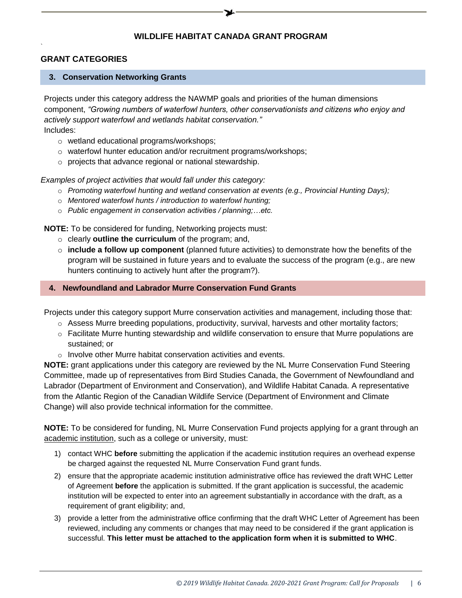# **GRANT CATEGORIES**

#### **3. Conservation Networking Grants**

Projects under this category address the NAWMP goals and priorities of the human dimensions component, *"Growing numbers of waterfowl hunters, other conservationists and citizens who enjoy and actively support waterfowl and wetlands habitat conservation."*

Includes:

`

- o wetland educational programs/workshops;
- o waterfowl hunter education and/or recruitment programs/workshops;
- o projects that advance regional or national stewardship.

*Examples of project activities that would fall under this category:*

- o *Promoting waterfowl hunting and wetland conservation at events (e.g., Provincial Hunting Days);*
- o *Mentored waterfowl hunts / introduction to waterfowl hunting;*
- o *Public engagement in conservation activities / planning;…etc.*

**NOTE:** To be considered for funding, Networking projects must:

- o clearly **outline the curriculum** of the program; and,
- o **include a follow up component** (planned future activities) to demonstrate how the benefits of the program will be sustained in future years and to evaluate the success of the program (e.g., are new hunters continuing to actively hunt after the program?).

#### **4. Newfoundland and Labrador Murre Conservation Fund Grants**

Projects under this category support Murre conservation activities and management, including those that:

- $\circ$  Assess Murre breeding populations, productivity, survival, harvests and other mortality factors;
- $\circ$  Facilitate Murre hunting stewardship and wildlife conservation to ensure that Murre populations are sustained; or
- o Involve other Murre habitat conservation activities and events.

**NOTE:** grant applications under this category are reviewed by the NL Murre Conservation Fund Steering Committee, made up of representatives from Bird Studies Canada, the Government of Newfoundland and Labrador (Department of Environment and Conservation), and Wildlife Habitat Canada. A representative from the Atlantic Region of the Canadian Wildlife Service (Department of Environment and Climate Change) will also provide technical information for the committee.

**NOTE:** To be considered for funding, NL Murre Conservation Fund projects applying for a grant through an academic institution, such as a college or university, must:

- 1) contact WHC **before** submitting the application if the academic institution requires an overhead expense be charged against the requested NL Murre Conservation Fund grant funds.
- 2) ensure that the appropriate academic institution administrative office has reviewed the draft WHC Letter of Agreement **before** the application is submitted. If the grant application is successful, the academic institution will be expected to enter into an agreement substantially in accordance with the draft, as a requirement of grant eligibility; and,
- 3) provide a letter from the administrative office confirming that the draft WHC Letter of Agreement has been reviewed, including any comments or changes that may need to be considered if the grant application is successful. **This letter must be attached to the application form when it is submitted to WHC**.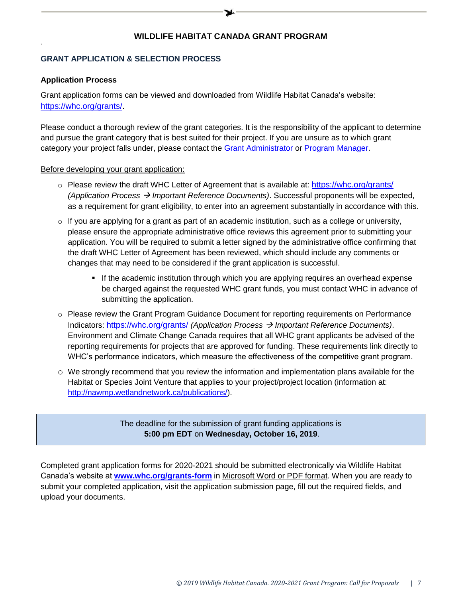### **GRANT APPLICATION & SELECTION PROCESS**

#### **Application Process**

`

Grant application forms can be viewed and downloaded from Wildlife Habitat Canada's website: [https://whc.org/grants/.](https://whc.org/grants/)

Please conduct a thorough review of the grant categories. It is the responsibility of the applicant to determine and pursue the grant category that is best suited for their project. If you are unsure as to which grant category your project falls under, please contact the [Grant Administrator](mailto:grants@whc.org?subject=Question%20on%20Application%20Process%20-%20WHC) or [Program Manager.](mailto:grants@whc.org?subject=Question%20on%20Application%20Process%20-%20WHC)

#### Before developing your grant application:

- $\circ$  Please review the draft WHC Letter of Agreement that is available at: <https://whc.org/grants/> *(Application Process Important Reference Documents)*. Successful proponents will be expected, as a requirement for grant eligibility, to enter into an agreement substantially in accordance with this.
- $\circ$  If you are applying for a grant as part of an academic institution, such as a college or university, please ensure the appropriate administrative office reviews this agreement prior to submitting your application. You will be required to submit a letter signed by the administrative office confirming that the draft WHC Letter of Agreement has been reviewed, which should include any comments or changes that may need to be considered if the grant application is successful.
	- **If the academic institution through which you are applying requires an overhead expense** be charged against the requested WHC grant funds, you must contact WHC in advance of submitting the application.
- o Please review the Grant Program Guidance Document for reporting requirements on Performance Indicators: <https://whc.org/grants/> *(Application Process Important Reference Documents)*. Environment and Climate Change Canada requires that all WHC grant applicants be advised of the reporting requirements for projects that are approved for funding. These requirements link directly to WHC's performance indicators, which measure the effectiveness of the competitive grant program.
- $\circ$  We strongly recommend that you review the information and implementation plans available for the Habitat or Species Joint Venture that applies to your project/project location (information at: [http://nawmp.wetlandnetwork.ca/publications/\)](http://nawmp.wetlandnetwork.ca/publications/).

The deadline for the submission of grant funding applications is **5:00 pm EDT** on **Wednesday, October 16, 2019**.

Completed grant application forms for 2020-2021 should be submitted electronically via Wildlife Habitat Canada's website at **[www.whc.org/grants-form](http://www.whc.org/grants-form)** in Microsoft Word or PDF format. When you are ready to submit your completed application, visit the application submission page, fill out the required fields, and upload your documents.